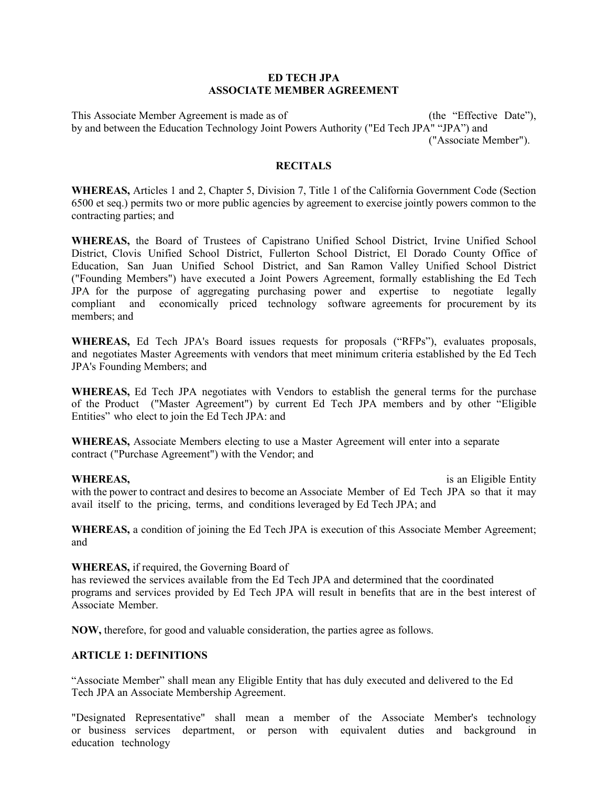#### **ED TECH JPA ASSOCIATE MEMBER AGREEMENT**

This Associate Member Agreement is made as of (the "Effective Date"), by and between the Education Technology Joint Powers Authority ("Ed Tech JPA" "JPA") and

("Associate Member").

#### **RECITALS**

**WHEREAS,** Articles 1 and 2, Chapter 5, Division 7, Title 1 of the California Government Code (Section 6500 et seq.) permits two or more public agencies by agreement to exercise jointly powers common to the contracting parties; and

**WHEREAS,** the Board of Trustees of Capistrano Unified School District, Irvine Unified School District, Clovis Unified School District, Fullerton School District, El Dorado County Office of Education, San Juan Unified School District, and San Ramon Valley Unified School District ("Founding Members") have executed a Joint Powers Agreement, formally establishing the Ed Tech JPA for the purpose of aggregating purchasing power and expertise to negotiate legally compliant and economically priced technology software agreements for procurement by its members; and

**WHEREAS,** Ed Tech JPA's Board issues requests for proposals ("RFPs"), evaluates proposals, and negotiates Master Agreements with vendors that meet minimum criteria established by the Ed Tech JPA's Founding Members; and

**WHEREAS,** Ed Tech JPA negotiates with Vendors to establish the general terms for the purchase of the Product ("Master Agreement") by current Ed Tech JPA members and by other "Eligible Entities" who elect to join the Ed Tech JPA: and

**WHEREAS,** Associate Members electing to use a Master Agreement will enter into a separate contract ("Purchase Agreement") with the Vendor; and

**WHEREAS,** is an Eligible Entity with the power to contract and desires to become an Associate Member of Ed Tech JPA so that it may avail itself to the pricing, terms, and conditions leveraged by Ed Tech JPA; and

**WHEREAS,** a condition of joining the Ed Tech JPA is execution of this Associate Member Agreement; and

#### **WHEREAS,** if required, the Governing Board of

has reviewed the services available from the Ed Tech JPA and determined that the coordinated programs and services provided by Ed Tech JPA will result in benefits that are in the best interest of Associate Member.

**NOW,** therefore, for good and valuable consideration, the parties agree as follows.

# **ARTICLE 1: DEFINITIONS**

"Associate Member" shall mean any Eligible Entity that has duly executed and delivered to the Ed Tech JPA an Associate Membership Agreement.

"Designated Representative" shall mean a member of the Associate Member's technology or business services department, or person with equivalent duties and background in education technology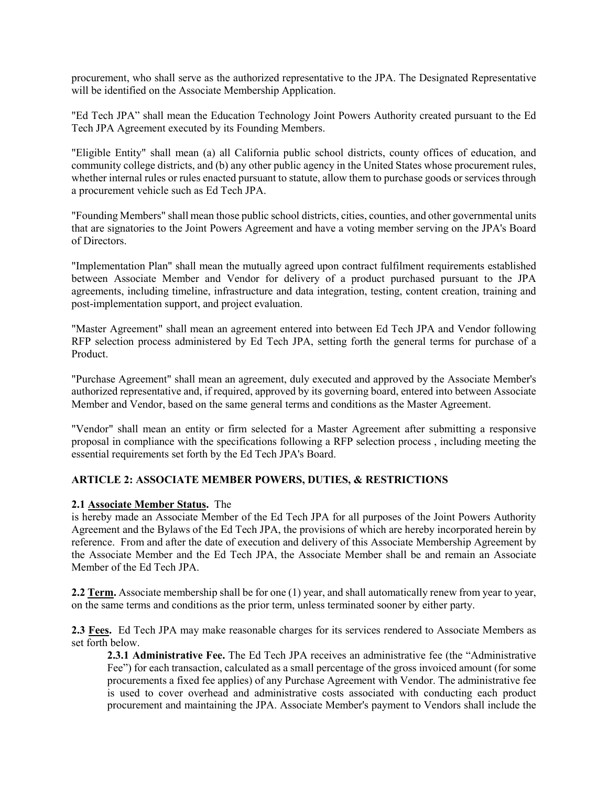procurement, who shall serve as the authorized representative to the JPA. The Designated Representative will be identified on the Associate Membership Application.

"Ed Tech JPA" shall mean the Education Technology Joint Powers Authority created pursuant to the Ed Tech JPA Agreement executed by its Founding Members.

"Eligible Entity" shall mean (a) all California public school districts, county offices of education, and community college districts, and (b) any other public agency in the United States whose procurement rules, whether internal rules or rules enacted pursuant to statute, allow them to purchase goods or services through a procurement vehicle such as Ed Tech JPA.

"Founding Members" shall mean those public school districts, cities, counties, and other governmental units that are signatories to the Joint Powers Agreement and have a voting member serving on the JPA's Board of Directors.

"Implementation Plan" shall mean the mutually agreed upon contract fulfilment requirements established between Associate Member and Vendor for delivery of a product purchased pursuant to the JPA agreements, including timeline, infrastructure and data integration, testing, content creation, training and post-implementation support, and project evaluation.

"Master Agreement" shall mean an agreement entered into between Ed Tech JPA and Vendor following RFP selection process administered by Ed Tech JPA, setting forth the general terms for purchase of a Product.

"Purchase Agreement" shall mean an agreement, duly executed and approved by the Associate Member's authorized representative and, if required, approved by its governing board, entered into between Associate Member and Vendor, based on the same general terms and conditions as the Master Agreement.

"Vendor" shall mean an entity or firm selected for a Master Agreement after submitting a responsive proposal in compliance with the specifications following a RFP selection process , including meeting the essential requirements set forth by the Ed Tech JPA's Board.

# **ARTICLE 2: ASSOCIATE MEMBER POWERS, DUTIES, & RESTRICTIONS**

# **2.1 Associate Member Status.** The

is hereby made an Associate Member of the Ed Tech JPA for all purposes of the Joint Powers Authority Agreement and the Bylaws of the Ed Tech JPA, the provisions of which are hereby incorporated herein by reference. From and after the date of execution and delivery of this Associate Membership Agreement by the Associate Member and the Ed Tech JPA, the Associate Member shall be and remain an Associate Member of the Ed Tech JPA.

**2.2 Term.** Associate membership shall be for one (1) year, and shall automatically renew from year to year, on the same terms and conditions as the prior term, unless terminated sooner by either party.

**2.3 Fees.** Ed Tech JPA may make reasonable charges for its services rendered to Associate Members as set forth below.

**2.3.1 Administrative Fee.** The Ed Tech JPA receives an administrative fee (the "Administrative Fee") for each transaction, calculated as a small percentage of the gross invoiced amount (for some procurements a fixed fee applies) of any Purchase Agreement with Vendor. The administrative fee is used to cover overhead and administrative costs associated with conducting each product procurement and maintaining the JPA. Associate Member's payment to Vendors shall include the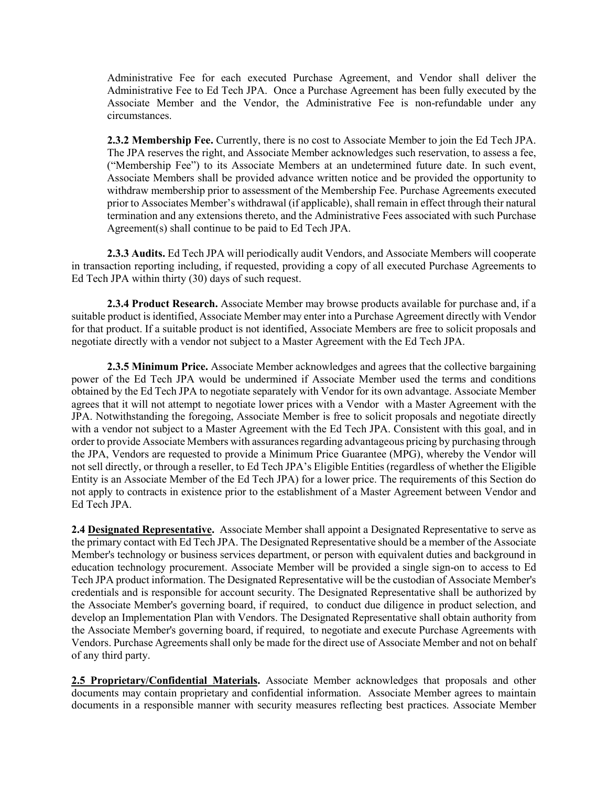Administrative Fee for each executed Purchase Agreement, and Vendor shall deliver the Administrative Fee to Ed Tech JPA. Once a Purchase Agreement has been fully executed by the Associate Member and the Vendor, the Administrative Fee is non-refundable under any circumstances.

**2.3.2 Membership Fee.** Currently, there is no cost to Associate Member to join the Ed Tech JPA. The JPA reserves the right, and Associate Member acknowledges such reservation, to assess a fee, ("Membership Fee") to its Associate Members at an undetermined future date. In such event, Associate Members shall be provided advance written notice and be provided the opportunity to withdraw membership prior to assessment of the Membership Fee. Purchase Agreements executed prior to Associates Member's withdrawal (if applicable), shall remain in effect through their natural termination and any extensions thereto, and the Administrative Fees associated with such Purchase Agreement(s) shall continue to be paid to Ed Tech JPA.

**2.3.3 Audits.** Ed Tech JPA will periodically audit Vendors, and Associate Members will cooperate in transaction reporting including, if requested, providing a copy of all executed Purchase Agreements to Ed Tech JPA within thirty (30) days of such request.

**2.3.4 Product Research.** Associate Member may browse products available for purchase and, if a suitable product is identified, Associate Member may enter into a Purchase Agreement directly with Vendor for that product. If a suitable product is not identified, Associate Members are free to solicit proposals and negotiate directly with a vendor not subject to a Master Agreement with the Ed Tech JPA.

**2.3.5 Minimum Price.** Associate Member acknowledges and agrees that the collective bargaining power of the Ed Tech JPA would be undermined if Associate Member used the terms and conditions obtained by the Ed Tech JPA to negotiate separately with Vendor for its own advantage. Associate Member agrees that it will not attempt to negotiate lower prices with a Vendor with a Master Agreement with the JPA. Notwithstanding the foregoing, Associate Member is free to solicit proposals and negotiate directly with a vendor not subject to a Master Agreement with the Ed Tech JPA. Consistent with this goal, and in order to provide Associate Members with assurances regarding advantageous pricing by purchasing through the JPA, Vendors are requested to provide a Minimum Price Guarantee (MPG), whereby the Vendor will not sell directly, or through a reseller, to Ed Tech JPA's Eligible Entities (regardless of whether the Eligible Entity is an Associate Member of the Ed Tech JPA) for a lower price. The requirements of this Section do not apply to contracts in existence prior to the establishment of a Master Agreement between Vendor and Ed Tech JPA.

**2.4 Designated Representative.** Associate Member shall appoint a Designated Representative to serve as the primary contact with Ed Tech JPA. The Designated Representative should be a member of the Associate Member's technology or business services department, or person with equivalent duties and background in education technology procurement. Associate Member will be provided a single sign-on to access to Ed Tech JPA product information. The Designated Representative will be the custodian of Associate Member's credentials and is responsible for account security. The Designated Representative shall be authorized by the Associate Member's governing board, if required, to conduct due diligence in product selection, and develop an Implementation Plan with Vendors. The Designated Representative shall obtain authority from the Associate Member's governing board, if required, to negotiate and execute Purchase Agreements with Vendors. Purchase Agreements shall only be made for the direct use of Associate Member and not on behalf of any third party.

**2.5 Proprietary/Confidential Materials.** Associate Member acknowledges that proposals and other documents may contain proprietary and confidential information. Associate Member agrees to maintain documents in a responsible manner with security measures reflecting best practices. Associate Member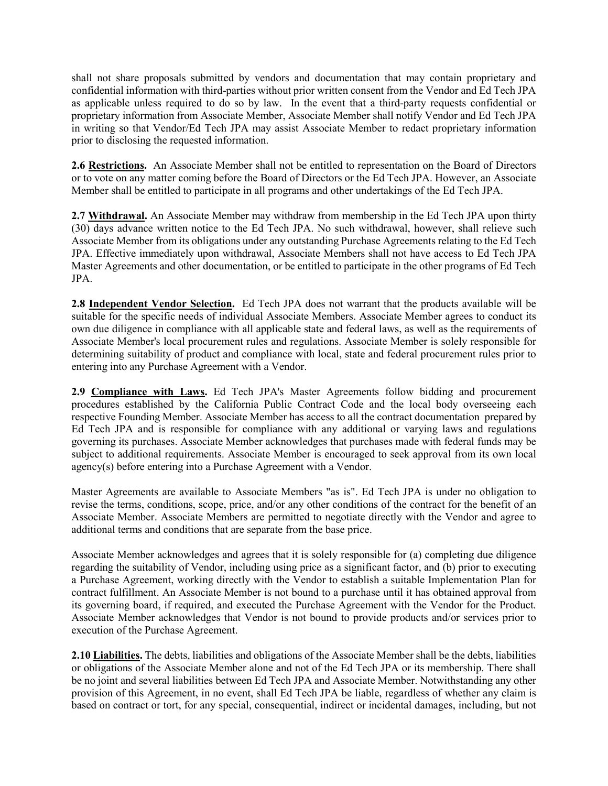shall not share proposals submitted by vendors and documentation that may contain proprietary and confidential information with third-parties without prior written consent from the Vendor and Ed Tech JPA as applicable unless required to do so by law. In the event that a third-party requests confidential or proprietary information from Associate Member, Associate Member shall notify Vendor and Ed Tech JPA in writing so that Vendor/Ed Tech JPA may assist Associate Member to redact proprietary information prior to disclosing the requested information.

**2.6 Restrictions.** An Associate Member shall not be entitled to representation on the Board of Directors or to vote on any matter coming before the Board of Directors or the Ed Tech JPA. However, an Associate Member shall be entitled to participate in all programs and other undertakings of the Ed Tech JPA.

**2.7 Withdrawal.** An Associate Member may withdraw from membership in the Ed Tech JPA upon thirty (30) days advance written notice to the Ed Tech JPA. No such withdrawal, however, shall relieve such Associate Member from its obligations under any outstanding Purchase Agreements relating to the Ed Tech JPA. Effective immediately upon withdrawal, Associate Members shall not have access to Ed Tech JPA Master Agreements and other documentation, or be entitled to participate in the other programs of Ed Tech JPA.

**2.8 Independent Vendor Selection.** Ed Tech JPA does not warrant that the products available will be suitable for the specific needs of individual Associate Members. Associate Member agrees to conduct its own due diligence in compliance with all applicable state and federal laws, as well as the requirements of Associate Member's local procurement rules and regulations. Associate Member is solely responsible for determining suitability of product and compliance with local, state and federal procurement rules prior to entering into any Purchase Agreement with a Vendor.

**2.9 Compliance with Laws.** Ed Tech JPA's Master Agreements follow bidding and procurement procedures established by the California Public Contract Code and the local body overseeing each respective Founding Member. Associate Member has access to all the contract documentation prepared by Ed Tech JPA and is responsible for compliance with any additional or varying laws and regulations governing its purchases. Associate Member acknowledges that purchases made with federal funds may be subject to additional requirements. Associate Member is encouraged to seek approval from its own local agency(s) before entering into a Purchase Agreement with a Vendor.

Master Agreements are available to Associate Members "as is". Ed Tech JPA is under no obligation to revise the terms, conditions, scope, price, and/or any other conditions of the contract for the benefit of an Associate Member. Associate Members are permitted to negotiate directly with the Vendor and agree to additional terms and conditions that are separate from the base price.

Associate Member acknowledges and agrees that it is solely responsible for (a) completing due diligence regarding the suitability of Vendor, including using price as a significant factor, and (b) prior to executing a Purchase Agreement, working directly with the Vendor to establish a suitable Implementation Plan for contract fulfillment. An Associate Member is not bound to a purchase until it has obtained approval from its governing board, if required, and executed the Purchase Agreement with the Vendor for the Product. Associate Member acknowledges that Vendor is not bound to provide products and/or services prior to execution of the Purchase Agreement.

**2.10 Liabilities.** The debts, liabilities and obligations of the Associate Member shall be the debts, liabilities or obligations of the Associate Member alone and not of the Ed Tech JPA or its membership. There shall be no joint and several liabilities between Ed Tech JPA and Associate Member. Notwithstanding any other provision of this Agreement, in no event, shall Ed Tech JPA be liable, regardless of whether any claim is based on contract or tort, for any special, consequential, indirect or incidental damages, including, but not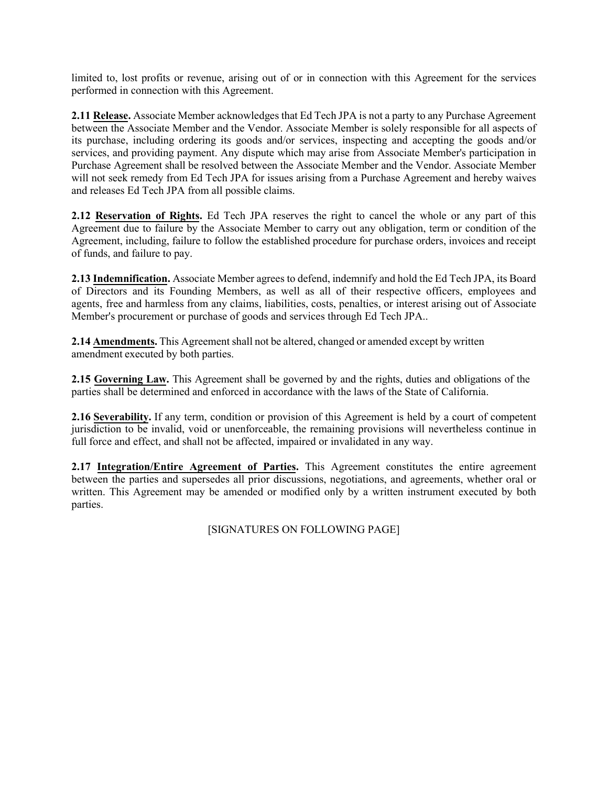limited to, lost profits or revenue, arising out of or in connection with this Agreement for the services performed in connection with this Agreement.

**2.11 Release.** Associate Member acknowledges that Ed Tech JPA is not a party to any Purchase Agreement between the Associate Member and the Vendor. Associate Member is solely responsible for all aspects of its purchase, including ordering its goods and/or services, inspecting and accepting the goods and/or services, and providing payment. Any dispute which may arise from Associate Member's participation in Purchase Agreement shall be resolved between the Associate Member and the Vendor. Associate Member will not seek remedy from Ed Tech JPA for issues arising from a Purchase Agreement and hereby waives and releases Ed Tech JPA from all possible claims.

**2.12 Reservation of Rights.** Ed Tech JPA reserves the right to cancel the whole or any part of this Agreement due to failure by the Associate Member to carry out any obligation, term or condition of the Agreement, including, failure to follow the established procedure for purchase orders, invoices and receipt of funds, and failure to pay.

**2.13 Indemnification.** Associate Member agrees to defend, indemnify and hold the Ed Tech JPA, its Board of Directors and its Founding Members, as well as all of their respective officers, employees and agents, free and harmless from any claims, liabilities, costs, penalties, or interest arising out of Associate Member's procurement or purchase of goods and services through Ed Tech JPA..

**2.14 Amendments.** This Agreement shall not be altered, changed or amended except by written amendment executed by both parties.

**2.15 Governing Law.** This Agreement shall be governed by and the rights, duties and obligations of the parties shall be determined and enforced in accordance with the laws of the State of California.

**2.16 Severability.** If any term, condition or provision of this Agreement is held by a court of competent jurisdiction to be invalid, void or unenforceable, the remaining provisions will nevertheless continue in full force and effect, and shall not be affected, impaired or invalidated in any way.

**2.17 Integration/Entire Agreement of Parties.** This Agreement constitutes the entire agreement between the parties and supersedes all prior discussions, negotiations, and agreements, whether oral or written. This Agreement may be amended or modified only by a written instrument executed by both parties.

[SIGNATURES ON FOLLOWING PAGE]